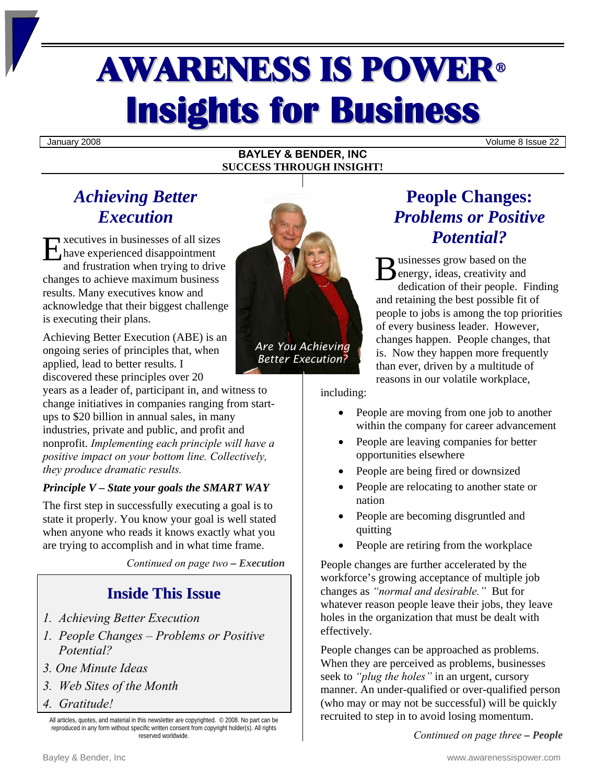# AWARENESS IS POWER<sup>ü</sup> **Insights for Business**

January 2008 Volume 8 Issue 22

## **BAYLEY & BENDER, INC SUCCESS THROUGH INSIGHT!**

# *Achieving Better Execution*

xecutives in businesses of all sizes have experienced disappointment and frustration when trying to drive changes to achieve maximum business results. Many executives know and acknowledge that their biggest challenge is executing their plans. Executives in businesses of all sizes<br>
and frustration when trying to drive<br>
changes to achieve maximum business<br>
B

Achieving Better Execution (ABE) is an ongoing series of principles that, when applied, lead to better results. I discovered these principles over 20

years as a leader of, participant in, and witness to change initiatives in companies ranging from startups to \$20 billion in annual sales, in many industries, private and public, and profit and nonprofit. *Implementing each principle will have a positive impact on your bottom line. Collectively, they produce dramatic results.* 

# *Principle V – State your goals the SMART WAY*

The first step in successfully executing a goal is to state it properly. You know your goal is well stated when anyone who reads it knows exactly what you are trying to accomplish and in what time frame.

*Continued on page two – Execution* 

# **Inside This Issue**

- *1. Achieving Better Execution*
- *1. People Changes Problems or Positive Potential?*
- *3. One Minute Ideas*
- *3. Web Sites of the Month*
- *4. Gratitude!*

All articles, quotes, and material in this newsletter are copyrighted. © 2008. No part can be reproduced in any form without specific written consent from copyright holder(s). All rights reserved worldwide.



*Are You Achieving Better Execution?*

# **People Changes:**  *Problems or Positive Potential?*

usinesses grow based on the energy, ideas, creativity and dedication of their people. Finding and retaining the best possible fit of people to jobs is among the top priorities of every business leader. However, changes happen. People changes, that is. Now they happen more frequently than ever, driven by a multitude of reasons in our volatile workplace,

including:

- People are moving from one job to another within the company for career advancement
- People are leaving companies for better opportunities elsewhere
- People are being fired or downsized
- People are relocating to another state or nation
- People are becoming disgruntled and quitting
- People are retiring from the workplace

People changes are further accelerated by the workforce's growing acceptance of multiple job changes as *"normal and desirable."* But for whatever reason people leave their jobs, they leave holes in the organization that must be dealt with effectively.

People changes can be approached as problems. When they are perceived as problems, businesses seek to *"plug the holes"* in an urgent, cursory manner. An under-qualified or over-qualified person (who may or may not be successful) will be quickly recruited to step in to avoid losing momentum.

*Continued on page three – People*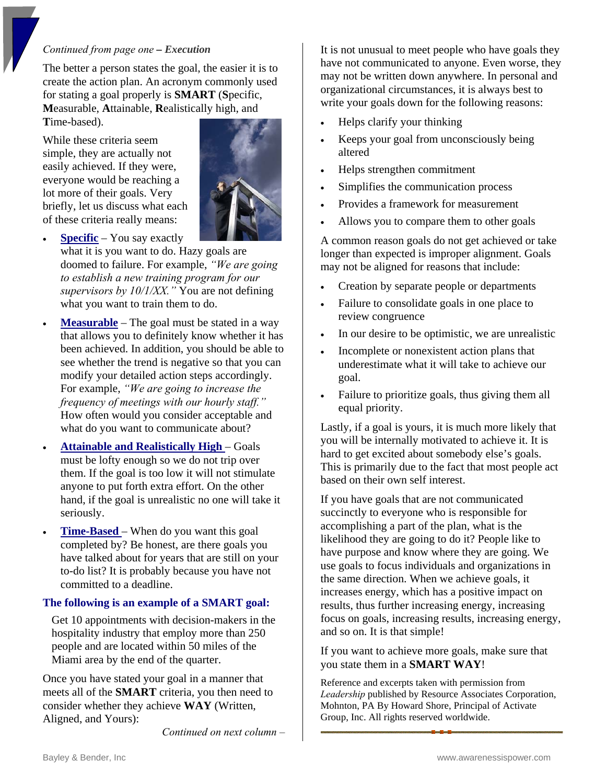## *Continued from page one – Execution*

The better a person states the goal, the easier it is to create the action plan. An acronym commonly used for stating a goal properly is **SMART** (**S**pecific, **M**easurable, **A**ttainable, **R**ealistically high, and **T**ime-based).

While these criteria seem simple, they are actually not easily achieved. If they were, everyone would be reaching a lot more of their goals. Very briefly, let us discuss what each of these criteria really means:



- **<u>Specific</u>** You say exactly what it is you want to do. Hazy goals are doomed to failure. For example, *"We are going to establish a new training program for our supervisors by 10/1/XX."* You are not defining what you want to train them to do.
- **Measurable** The goal must be stated in a way that allows you to definitely know whether it has been achieved. In addition, you should be able to see whether the trend is negative so that you can modify your detailed action steps accordingly. For example, *"We are going to increase the frequency of meetings with our hourly staff."*  How often would you consider acceptable and what do you want to communicate about?
- **Attainable and Realistically High**  Goals must be lofty enough so we do not trip over them. If the goal is too low it will not stimulate anyone to put forth extra effort. On the other hand, if the goal is unrealistic no one will take it seriously.
- **Time-Based**  When do you want this goal completed by? Be honest, are there goals you have talked about for years that are still on your to-do list? It is probably because you have not committed to a deadline.

## **The following is an example of a SMART goal:**

Get 10 appointments with decision-makers in the hospitality industry that employ more than 250 people and are located within 50 miles of the Miami area by the end of the quarter.

Once you have stated your goal in a manner that meets all of the **SMART** criteria, you then need to consider whether they achieve **WAY** (Written, Aligned, and Yours):

*Continued on next column –* 

It is not unusual to meet people who have goals they have not communicated to anyone. Even worse, they may not be written down anywhere. In personal and organizational circumstances, it is always best to write your goals down for the following reasons:

- Helps clarify your thinking
- Keeps your goal from unconsciously being altered
- Helps strengthen commitment
- Simplifies the communication process
- Provides a framework for measurement
- Allows you to compare them to other goals

A common reason goals do not get achieved or take longer than expected is improper alignment. Goals may not be aligned for reasons that include:

- Creation by separate people or departments
- Failure to consolidate goals in one place to review congruence
- In our desire to be optimistic, we are unrealistic
- Incomplete or nonexistent action plans that underestimate what it will take to achieve our goal.
- Failure to prioritize goals, thus giving them all equal priority.

Lastly, if a goal is yours, it is much more likely that you will be internally motivated to achieve it. It is hard to get excited about somebody else's goals. This is primarily due to the fact that most people act based on their own self interest.

If you have goals that are not communicated succinctly to everyone who is responsible for accomplishing a part of the plan, what is the likelihood they are going to do it? People like to have purpose and know where they are going. We use goals to focus individuals and organizations in the same direction. When we achieve goals, it increases energy, which has a positive impact on results, thus further increasing energy, increasing focus on goals, increasing results, increasing energy, and so on. It is that simple!

If you want to achieve more goals, make sure that you state them in a **SMART WAY**!

Reference and excerpts taken with permission from *Leadership* published by Resource Associates Corporation, Mohnton, PA By Howard Shore, Principal of Activate Group, Inc. All rights reserved worldwide.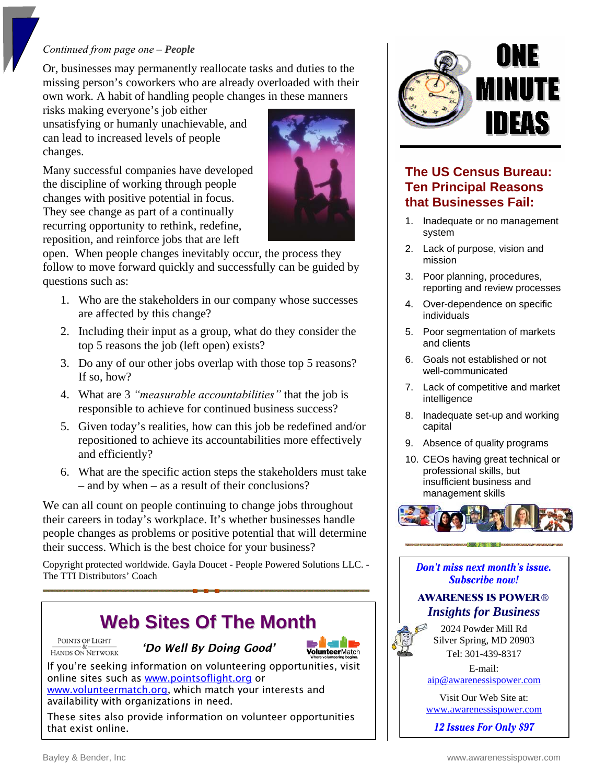## *Continued from page one – People*

Or, businesses may permanently reallocate tasks and duties to the missing person's coworkers who are already overloaded with their own work. A habit of handling people changes in these manners

unsatisfying or humanly unachievable, and risks making everyone's job either can lead to increased levels of people changes.

Many successful companies have developed recurring opportunity to rethink, redefine, the discipline of working through people changes with positive potential in focus. They see change as part of a continually reposition, and reinforce jobs that are left



open. When people changes inevitably occur, the process they follow to move forward quickly and successfully can be guided by questions such as:

- 1. Who are the stakeholders in our company whose successes are affected by this change?
- 2. Including their input as a group, what do they consider the top 5 reasons the job (left open) exists?
- 3. Do any of our other jobs overlap with those top 5 reasons? If so, how?
- 4. What are 3 *"measurable accountabilities"* that the job is responsible to achieve for continued business success?
- 5. Given today's realities, how can this job be redefined and/or repositioned to achieve its accountabilities more effectively and efficiently?
- 6. What are the specific action steps the stakeholders must take – and by when – as a result of their conclusions?

We can all count on people continuing to change jobs throughout e people changes as problems or positive potential that will determin their careers in today's workplace. It's whether businesses handle their success. Which is the best choice for your business?

Copyright protected worldwide. Gayla Doucet - People Powered Solutions LLC. -The TTI Distributors' Coach



POINTS OF LIGHT HANDS ON NETWORK

*'Do Well By Doing Good'* 

If you're seeking information on volunteering oppo[rtunities, visit](http://www.volunteermatch.org/)

These sites also provide information on volunteer opportunities

[www.volunteermatch.org](http://www.volunteermatch.org/), which match your interests and

online sites such as [www.pointsoflight.org](http://www.pointsoflight.org/) or

availability with organizations in need.



2024 Powder Mill Rd Silver Spring, MD 20903 Tel: 301-439-8317 E-mail:

[aip@awarenessispower.com](mailto:aip@awarenessispower.com) 

Visit Our Web Site at: [www.awarenessispower.com](http://www.awarenessispower.com)

12 Issues For Only \$97



# **The US Census Bureau: Ten Principal Reasons that Businesses Fail:**

- 1. Inadequate or no management system
- 2. Lack of purpose, vision and mission
- , 3. Poor planning, procedures reporting and review processes
- 4. Over-dependence on specific individuals
- 5. Poor segmentation of markets and clients
- 6. Goals not established or not well-communicated
- 7. Lack of competitive and market intelligence
- 8. Inadequate set-up and working capital
- 9. Absence of quality programs
- professional skills, but 10. CEOs having great technical or insufficient business and management skills



Don't miss next month's issue. **Subscribe now!** 

# **AWARENESS IS POWER®** *Insights for Business*

that exist online.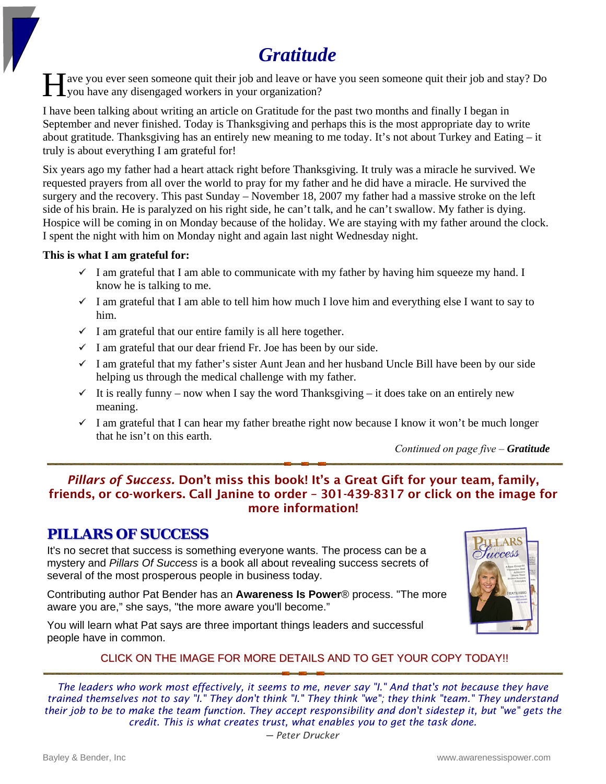# *Gratitude*

ave you ever seen someone quit their job and leave or have you seen someone quit their job and stay? Do you have any disengaged workers in your organization? H

I have been talking about writing an article on Gratitude for the past two months and finally I began in September and never finished. Today is Thanksgiving and perhaps this is the most appropriate day to write about gratitude. Thanksgiving has an entirely new meaning to me today. It's not about Turkey and Eating – it truly is about everything I am grateful for!

Six years ago my father had a heart attack right before Thanksgiving. It truly was a miracle he survived. We requested prayers from all over the world to pray for my father and he did have a miracle. He survived the surgery and the recovery. This past Sunday – November 18, 2007 my father had a massive stroke on the left side of his brain. He is paralyzed on his right side, he can't talk, and he can't swallow. My father is dying. Hospice will be coming in on Monday because of the holiday. We are staying with my father around the clock. I spent the night with him on Monday night and again last night Wednesday night.

## **This is what I am grateful for:**

- $\checkmark$  I am grateful that I am able to communicate with my father by having him squeeze my hand. I know he is talking to me.
- $\checkmark$  I am grateful that I am able to tell him how much I love him and everything else I want to say to him.
- $\checkmark$  I am grateful that our entire family is all here together.
- $\checkmark$  I am grateful that our dear friend Fr. Joe has been by our side.
- $\checkmark$  I am grateful that my father's sister Aunt Jean and her husband Uncle Bill have been by our side helping us through the medical challenge with my father.
- $\checkmark$  It is really funny now when I say the word Thanksgiving it does take on an entirely new meaning.
- $\checkmark$  I am grateful that I can hear my father breathe right now because I know it won't be much longer that he isn't on this earth.

*Continued on page five – Gratitude* 

# *Pillars of Success.* Don't miss this book! It's a Great Gift for your team, family, friends, or co-workers. Call Janine to order – 301-439-8317 or click on the image for more information!

# **PILLARS OF SUCCESS**

It's no secret that success is something everyone wants. The process can be a mystery and *Pillars Of Success* is a book all about revealing success secrets of several of the most prosperous people in business today.

Contributing author Pat Bender has an **Awareness Is Power**® process. "The more aware you are," she says, "the more aware you'll become."

You will learn what Pat says are three important things leaders and successful people have in common.



# CLICK ON THE IMAGE FOR MORE DETAILS AND TO GET YOUR COPY TODAY!!

*The leaders who work most effectively, it seems to me, never say "I." And that's not because they have trained themselves not to say "I." They don't think "I." They think "we"; they think "team." They understand their job to be to make the team function. They accept responsibility and don't sidestep it, but "we" gets the credit. This is what creates trust, what enables you to get the task done.*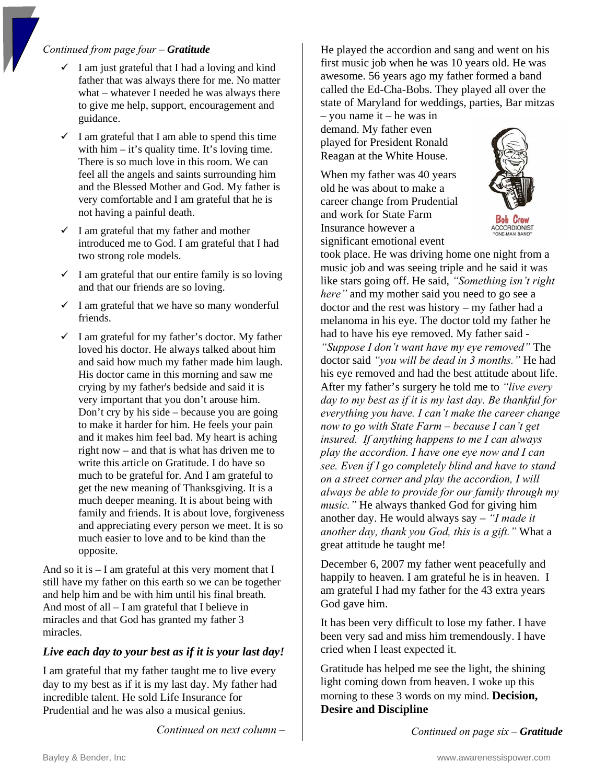## *Continued from page four – Gratitude*

- $\checkmark$ father that was always there for me. No matter what – whatever I needed he was always there I am just grateful that I had a loving and kind to give me help, support, encouragement and guidance.
- $\checkmark$  I am grateful that I am able to spend this time with  $\lim - it$ 's quality time. It's loving time. There is so much love in this room. We can feel all the angels and saints surrounding him and the Blessed Mother and God. My father is very comfortable and I am grateful that he is not having a painful death.
- $\checkmark$  I am grateful that my father and mother introduced me to God. I am grateful that I had two strong role models.
- and that our friends are so loving.
- $\checkmark$  I am grateful that we have so many wonderful frie nds.
- $\checkmark$  I am grateful for my father's doctor. My father had to His doctor came in this morning and saw me crying by my father's bedside and said it is very important that you don't arouse him. Don't cry by his side – because you are going and it makes him feel bad. My heart is aching right now – and that is what has driven me to family and friends. It is about love, for giveness and appreciating every person we meet. It is so much easier to love and to be kind than the loved his doctor. He always talked about him and said how much my father made him laugh. to make it harder for him. He feels your pain write this article on Gratitude. I do have so much to be grateful for. And I am grateful to get the new meaning of Thanksgiving. It is a much deeper meaning. It is about being with opposite.

And so it is  $-1$  am grateful at this very moment that I s till have my father on this earth so we can be together a nd help him and be with him until his final breath. A nd most of all – I am grateful that I believe in miracles and that God has granted my father 3 <br>
It has been very difficul<br>
heen very sad and miss miracles.

# *Live each d ay to your best as if it is your last day!* cried when I least expected it.

da y to my best as if it is my last day. My father had i ncredible talent. He sold Life Insurance for I am grateful that my father taught me to live every Prudential and he was also a musical genius.

*Continued on next column –* 

awesome. 56 years ago my father formed a band ca lled the Ed-Cha-Bobs. They played all over the state of Maryland for weddings, parties, Bar m itzas He played the accordion and sang and went on his first music job when he was 10 years old. He was

– you name it – he was in demand. My father even played for President Ronald Reagan at the White House.

significant emotional event When my father was 40 years old he was about to make a career change from Prudential and work for State Farm Insurance however a



I am grateful that our entire family is so loving music job and was seeing triple and he said it took place. He was driving home one night from a music job and was seeing triple and he said it was melanoma in his eye. The doctor told my father he had to have his eye removed. My father said *n't want have my eye removed"* The doctor said "you will be dead in 3 months." He had his eye removed and had the best attitude about life. After my father's surgery he told me to *"live every kful for day to my best as if it is my last day. Be than insured. If anything happens to me I can always play the accord ion. I have one eye now and I can see. Even if I go completely blind and have to stand*  music." He always thanked God for giving him another day. He would always say – *"I made it another day, thank you God, this is a gift."* What a great attitude he taught me! like stars going off. He said, *"Something isn't right here"* and my mother said you need to go see a doctor and the rest was history – my father had a *everything you have. I can't make the career change now to go with State Farm – because I can't get on a street corner and play the accordion, I will always be able to provide for our family through my* 

> December 6, 2007 my father went peacefully and happily to heaven. I am grateful he is in heaven. I am grateful I had my father for the 43 extra years God gave him.

It has been very difficult to lose my father. I have been very sad and miss him tremendously. I have

Gratitude has helped me see the light, the shining light coming down from heaven. I woke up this morning to these 3 words on my mind. **Decision, Desire and Discipline**

*Continued on page six – Gratitude*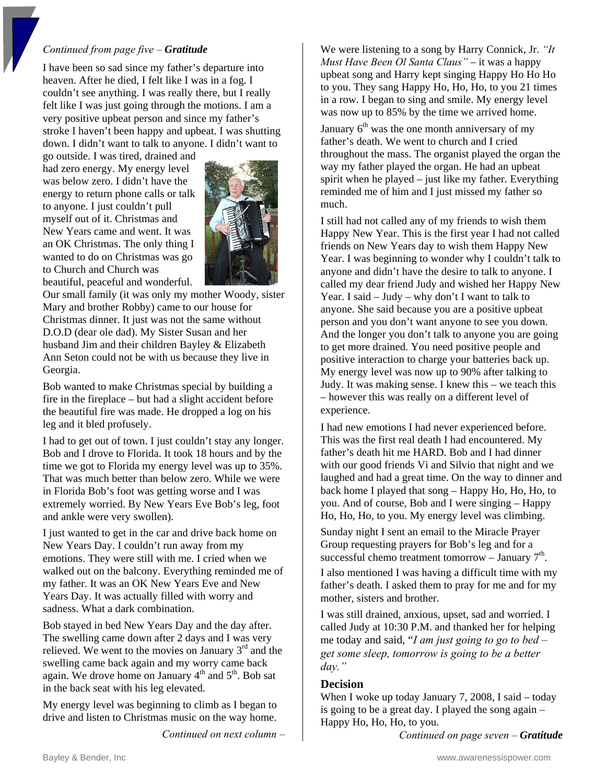#### *Continued from page five – Gratitude*

I ha ve been so sad since my father's departure into heaven. After he died, I felt like I was in a fog. I couldn' t see anything. I was really there, but I really felt like I was just going through the motions. I am a very positive upbeat person and since my father's stro ke I haven't been happy and upbeat. I was shutting dow n. I didn't want to talk to anyone. I didn't want to

go outsi de. I was tired, drained and had zero energy. My energy level was bel ow zero. I didn't have the energy t o return phone calls or talk to anyo ne. I just couldn't pull myself o ut of it. Christmas and New Years came and went. It was an OK C hristmas. The only thing I wanted to do on Christmas was go to C hurch and Church was beau tiful, peaceful and wonderful.



Our small family (it was only my mother Woody, sister Mar y and brother Robby) came to our house for Christmas dinner. It just was not the same without D.O.D (dear ole dad). My Sister Susan and her husband Jim and their children Bayley & Elizabeth Ann Set on could not be with us because they live in Georgia .

Bob wa nted to make Christmas special by building a fire in the fireplace – but had a slight accident before the beau tiful fire was made. He dropped a log on his leg and it bled profusely.

I had to get out of town. I just couldn't stay any longer. Bob and I drove to Florida. It took 18 hours and by the time we got to Florida my energy level was up to 35%. That wa s much better than below zero. While we were in Florid a Bob's foot was getting worse and I was extreme ly worried. By New Years Eve Bob's leg, foot and ank le were very swollen).

I just w anted to get in the car and drive back home on New Ye ars Day. I couldn't run away from my emotions. They were still with me. I cried when we walked out on the balcony. Everything reminded me of my father. It was an OK New Years Eve and New Years Day. It was actually filled with worry and sadness. What a dark combination.

The swelling came down after 2 days and I was very Bob stayed in bed New Years Day and the day after. relieved. We went to the movies on January  $3<sup>rd</sup>$  and the swelling came back again and my worry came back again. We drove home on January  $4<sup>th</sup>$  and  $5<sup>th</sup>$ . Bob sat in the back seat with his leg elevated.

My energy level was beginning to climb as I began to drive and listen to Christmas music on the way home.

*Continued on next column –* 

upbeat song and Harry kept singing Happy Ho Ho Ho We were listening to a song by Harry Connick, Jr. *"It Must Have Been Ol Santa Claus"* – it was a happy to you. They sang Happy Ho, Ho, Ho, to you 21 times in a row. I began to sing and smile. My energy level was now up to 85% by the time we arrived home.

January  $6<sup>th</sup>$  was the one month anniversary of my father's death. We went to church and I cried throughout the mass. The organist played the organ the way my father played the organ. He had an upbeat spirit when he played – just like my father. Everything reminded me of him and I just missed my father so much.

I still had not called any of my friends to wish them Happy New Year. This is the first year I had not called Year. I was beginning to wonder why I couldn't talk to And the longer you don't talk to anyone you are going friends on New Years day to wish them Happy New anyone and didn't have the desire to talk to anyone. I called my dear friend Judy and wished her Happy New Year. I said – Judy – why don't I want to talk to anyone. She said because you are a positive upbeat person and you don't want anyone to see you down. to get more drained. You need positive people and positive interaction to charge your batteries back up. My energy level was now up to 90% after talking to Judy. It was making sense. I knew this – we teach this – however this was really on a different level of experience.

laughed and had a great time. On the way to dinner and y you. And of course, Bob and I were singing – Happ . Ho, Ho, Ho, to you. My energy level was climbing I had new emotions I had never experienced before. This was the first real death I had encountered. My father's death hit me HARD. Bob and I had dinner with our good friends Vi and Silvio that night and we back home I played that song – Happy Ho, Ho, Ho, to

Group requesting prayers for Bob's leg and for a Sunday night I sent an email to the Miracle Prayer successful chemo treatment tomorrow – January  $7<sup>th</sup>$ .

I also mentioned I was having a difficult time with my father's death. I asked them to pray for me and for my mother, sisters and brother.

*ing to be a better get some sleep, tomorrow is go* I was still drained, anxious, upset, sad and worried. I called Judy at 10:30 P.M. and thanked her for helping me today and said, "*I am just going to go to bed – day."* 

#### **Decision**

When I woke up today January 7, 2008, I said – today is going to be a great day. I played the song again  $-$ Happy Ho, Ho, Ho, to y ou.

*Co ntinued on page seven – Gratitude*